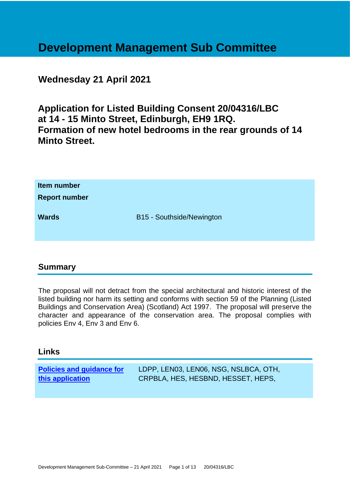# **Development Management Sub Committee**

## **Wednesday 21 April 2021**

**Application for Listed Building Consent 20/04316/LBC at 14 - 15 Minto Street, Edinburgh, EH9 1RQ. Formation of new hotel bedrooms in the rear grounds of 14 Minto Street.**

| Item number<br><b>Report number</b> |                           |
|-------------------------------------|---------------------------|
| <b>Wards</b>                        | B15 - Southside/Newington |

## **Summary**

The proposal will not detract from the special architectural and historic interest of the listed building nor harm its setting and conforms with section 59 of the Planning (Listed Buildings and Conservation Area) (Scotland) Act 1997. The proposal will preserve the character and appearance of the conservation area. The proposal complies with policies Env 4, Env 3 and Env 6.

## **Links**

**[Policies and guidance for](file:///C:/uniform/temp/uf04148.rtf%23Policies)  [this application](file:///C:/uniform/temp/uf04148.rtf%23Policies)** LDPP, LEN03, LEN06, NSG, NSLBCA, OTH, CRPBLA, HES, HESBND, HESSET, HEPS,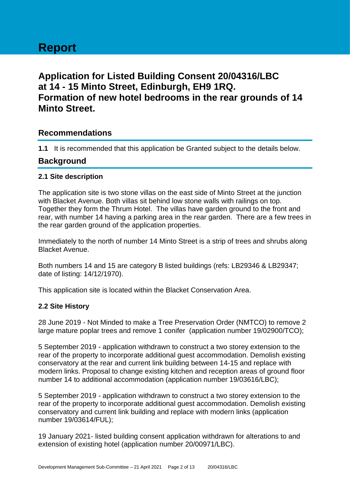## **Application for Listed Building Consent 20/04316/LBC at 14 - 15 Minto Street, Edinburgh, EH9 1RQ. Formation of new hotel bedrooms in the rear grounds of 14 Minto Street.**

## **Recommendations**

**1.1** It is recommended that this application be Granted subject to the details below.

## **Background**

## **2.1 Site description**

The application site is two stone villas on the east side of Minto Street at the junction with Blacket Avenue. Both villas sit behind low stone walls with railings on top. Together they form the Thrum Hotel. The villas have garden ground to the front and rear, with number 14 having a parking area in the rear garden. There are a few trees in the rear garden ground of the application properties.

Immediately to the north of number 14 Minto Street is a strip of trees and shrubs along Blacket Avenue.

Both numbers 14 and 15 are category B listed buildings (refs: LB29346 & LB29347; date of listing: 14/12/1970).

This application site is located within the Blacket Conservation Area.

## **2.2 Site History**

28 June 2019 - Not Minded to make a Tree Preservation Order (NMTCO) to remove 2 large mature poplar trees and remove 1 conifer (application number 19/02900/TCO);

5 September 2019 - application withdrawn to construct a two storey extension to the rear of the property to incorporate additional guest accommodation. Demolish existing conservatory at the rear and current link building between 14-15 and replace with modern links. Proposal to change existing kitchen and reception areas of ground floor number 14 to additional accommodation (application number 19/03616/LBC);

5 September 2019 - application withdrawn to construct a two storey extension to the rear of the property to incorporate additional guest accommodation. Demolish existing conservatory and current link building and replace with modern links (application number 19/03614/FUL);

19 January 2021- listed building consent application withdrawn for alterations to and extension of existing hotel (application number 20/00971/LBC).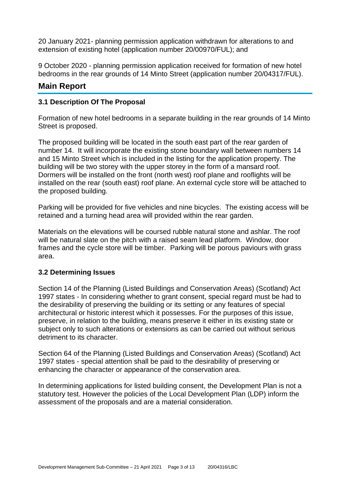20 January 2021- planning permission application withdrawn for alterations to and extension of existing hotel (application number 20/00970/FUL); and

9 October 2020 - planning permission application received for formation of new hotel bedrooms in the rear grounds of 14 Minto Street (application number 20/04317/FUL).

## **Main Report**

## **3.1 Description Of The Proposal**

Formation of new hotel bedrooms in a separate building in the rear grounds of 14 Minto Street is proposed.

The proposed building will be located in the south east part of the rear garden of number 14. It will incorporate the existing stone boundary wall between numbers 14 and 15 Minto Street which is included in the listing for the application property. The building will be two storey with the upper storey in the form of a mansard roof. Dormers will be installed on the front (north west) roof plane and rooflights will be installed on the rear (south east) roof plane. An external cycle store will be attached to the proposed building.

Parking will be provided for five vehicles and nine bicycles. The existing access will be retained and a turning head area will provided within the rear garden.

Materials on the elevations will be coursed rubble natural stone and ashlar. The roof will be natural slate on the pitch with a raised seam lead platform. Window, door frames and the cycle store will be timber. Parking will be porous paviours with grass area.

## **3.2 Determining Issues**

Section 14 of the Planning (Listed Buildings and Conservation Areas) (Scotland) Act 1997 states - In considering whether to grant consent, special regard must be had to the desirability of preserving the building or its setting or any features of special architectural or historic interest which it possesses. For the purposes of this issue, preserve, in relation to the building, means preserve it either in its existing state or subject only to such alterations or extensions as can be carried out without serious detriment to its character.

Section 64 of the Planning (Listed Buildings and Conservation Areas) (Scotland) Act 1997 states - special attention shall be paid to the desirability of preserving or enhancing the character or appearance of the conservation area.

In determining applications for listed building consent, the Development Plan is not a statutory test. However the policies of the Local Development Plan (LDP) inform the assessment of the proposals and are a material consideration.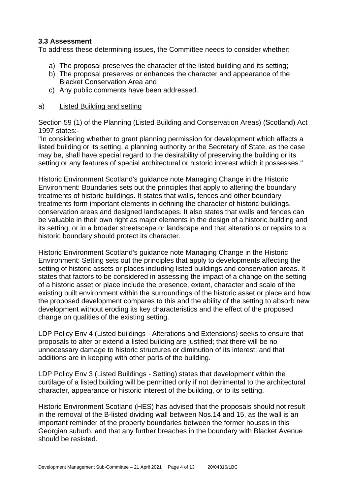## **3.3 Assessment**

To address these determining issues, the Committee needs to consider whether:

- a) The proposal preserves the character of the listed building and its setting;
- b) The proposal preserves or enhances the character and appearance of the Blacket Conservation Area and
- c) Any public comments have been addressed.

## a) Listed Building and setting

Section 59 (1) of the Planning (Listed Building and Conservation Areas) (Scotland) Act 1997 states:-

"In considering whether to grant planning permission for development which affects a listed building or its setting, a planning authority or the Secretary of State, as the case may be, shall have special regard to the desirability of preserving the building or its setting or any features of special architectural or historic interest which it possesses."

Historic Environment Scotland's guidance note Managing Change in the Historic Environment: Boundaries sets out the principles that apply to altering the boundary treatments of historic buildings. It states that walls, fences and other boundary treatments form important elements in defining the character of historic buildings, conservation areas and designed landscapes. It also states that walls and fences can be valuable in their own right as major elements in the design of a historic building and its setting, or in a broader streetscape or landscape and that alterations or repairs to a historic boundary should protect its character.

Historic Environment Scotland's guidance note Managing Change in the Historic Environment: Setting sets out the principles that apply to developments affecting the setting of historic assets or places including listed buildings and conservation areas. It states that factors to be considered in assessing the impact of a change on the setting of a historic asset or place include the presence, extent, character and scale of the existing built environment within the surroundings of the historic asset or place and how the proposed development compares to this and the ability of the setting to absorb new development without eroding its key characteristics and the effect of the proposed change on qualities of the existing setting.

LDP Policy Env 4 (Listed buildings - Alterations and Extensions) seeks to ensure that proposals to alter or extend a listed building are justified; that there will be no unnecessary damage to historic structures or diminution of its interest; and that additions are in keeping with other parts of the building.

LDP Policy Env 3 (Listed Buildings - Setting) states that development within the curtilage of a listed building will be permitted only if not detrimental to the architectural character, appearance or historic interest of the building, or to its setting.

Historic Environment Scotland (HES) has advised that the proposals should not result in the removal of the B-listed dividing wall between Nos.14 and 15, as the wall is an important reminder of the property boundaries between the former houses in this Georgian suburb, and that any further breaches in the boundary with Blacket Avenue should be resisted.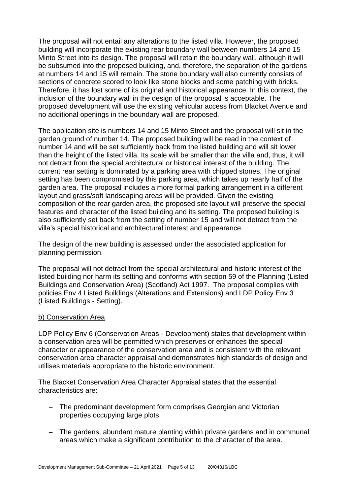The proposal will not entail any alterations to the listed villa. However, the proposed building will incorporate the existing rear boundary wall between numbers 14 and 15 Minto Street into its design. The proposal will retain the boundary wall, although it will be subsumed into the proposed building, and, therefore, the separation of the gardens at numbers 14 and 15 will remain. The stone boundary wall also currently consists of sections of concrete scored to look like stone blocks and some patching with bricks. Therefore, it has lost some of its original and historical appearance. In this context, the inclusion of the boundary wall in the design of the proposal is acceptable. The proposed development will use the existing vehicular access from Blacket Avenue and no additional openings in the boundary wall are proposed.

The application site is numbers 14 and 15 Minto Street and the proposal will sit in the garden ground of number 14. The proposed building will be read in the context of number 14 and will be set sufficiently back from the listed building and will sit lower than the height of the listed villa. Its scale will be smaller than the villa and, thus, it will not detract from the special architectural or historical interest of the building. The current rear setting is dominated by a parking area with chipped stones. The original setting has been compromised by this parking area, which takes up nearly half of the garden area. The proposal includes a more formal parking arrangement in a different layout and grass/soft landscaping areas will be provided. Given the existing composition of the rear garden area, the proposed site layout will preserve the special features and character of the listed building and its setting. The proposed building is also sufficiently set back from the setting of number 15 and will not detract from the villa's special historical and architectural interest and appearance.

The design of the new building is assessed under the associated application for planning permission.

The proposal will not detract from the special architectural and historic interest of the listed building nor harm its setting and conforms with section 59 of the Planning (Listed Buildings and Conservation Area) (Scotland) Act 1997. The proposal complies with policies Env 4 Listed Buildings (Alterations and Extensions) and LDP Policy Env 3 (Listed Buildings - Setting).

#### b) Conservation Area

LDP Policy Env 6 (Conservation Areas - Development) states that development within a conservation area will be permitted which preserves or enhances the special character or appearance of the conservation area and is consistent with the relevant conservation area character appraisal and demonstrates high standards of design and utilises materials appropriate to the historic environment.

The Blacket Conservation Area Character Appraisal states that the essential characteristics are:

- − The predominant development form comprises Georgian and Victorian properties occupying large plots.
- − The gardens, abundant mature planting within private gardens and in communal areas which make a significant contribution to the character of the area.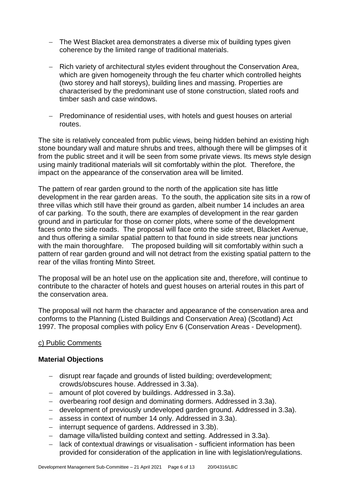- − The West Blacket area demonstrates a diverse mix of building types given coherence by the limited range of traditional materials.
- − Rich variety of architectural styles evident throughout the Conservation Area, which are given homogeneity through the feu charter which controlled heights (two storey and half storeys), building lines and massing. Properties are characterised by the predominant use of stone construction, slated roofs and timber sash and case windows.
- − Predominance of residential uses, with hotels and guest houses on arterial routes.

The site is relatively concealed from public views, being hidden behind an existing high stone boundary wall and mature shrubs and trees, although there will be glimpses of it from the public street and it will be seen from some private views. Its mews style design using mainly traditional materials will sit comfortably within the plot. Therefore, the impact on the appearance of the conservation area will be limited.

The pattern of rear garden ground to the north of the application site has little development in the rear garden areas. To the south, the application site sits in a row of three villas which still have their ground as garden, albeit number 14 includes an area of car parking. To the south, there are examples of development in the rear garden ground and in particular for those on corner plots, where some of the development faces onto the side roads. The proposal will face onto the side street, Blacket Avenue, and thus offering a similar spatial pattern to that found in side streets near junctions with the main thoroughfare. The proposed building will sit comfortably within such a pattern of rear garden ground and will not detract from the existing spatial pattern to the rear of the villas fronting Minto Street.

The proposal will be an hotel use on the application site and, therefore, will continue to contribute to the character of hotels and guest houses on arterial routes in this part of the conservation area.

The proposal will not harm the character and appearance of the conservation area and conforms to the Planning (Listed Buildings and Conservation Area) (Scotland) Act 1997. The proposal complies with policy Env 6 (Conservation Areas - Development).

## c) Public Comments

## **Material Objections**

- − disrupt rear façade and grounds of listed building; overdevelopment; crowds/obscures house. Addressed in 3.3a).
- − amount of plot covered by buildings. Addressed in 3.3a).
- − overbearing roof design and dominating dormers. Addressed in 3.3a).
- − development of previously undeveloped garden ground. Addressed in 3.3a).
- − assess in context of number 14 only. Addressed in 3.3a).
- − interrupt sequence of gardens. Addressed in 3.3b).
- − damage villa/listed building context and setting. Addressed in 3.3a).
- − lack of contextual drawings or visualisation sufficient information has been provided for consideration of the application in line with legislation/regulations.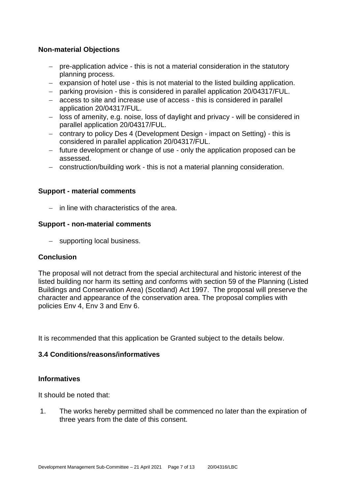## **Non-material Objections**

- − pre-application advice this is not a material consideration in the statutory planning process.
- − expansion of hotel use this is not material to the listed building application.
- − parking provision this is considered in parallel application 20/04317/FUL.
- − access to site and increase use of access this is considered in parallel application 20/04317/FUL.
- − loss of amenity, e.g. noise, loss of daylight and privacy will be considered in parallel application 20/04317/FUL.
- − contrary to policy Des 4 (Development Design impact on Setting) this is considered in parallel application 20/04317/FUL.
- − future development or change of use only the application proposed can be assessed.
- − construction/building work this is not a material planning consideration.

## **Support - material comments**

− in line with characteristics of the area.

## **Support - non-material comments**

− supporting local business.

## **Conclusion**

The proposal will not detract from the special architectural and historic interest of the listed building nor harm its setting and conforms with section 59 of the Planning (Listed Buildings and Conservation Area) (Scotland) Act 1997. The proposal will preserve the character and appearance of the conservation area. The proposal complies with policies Env 4, Env 3 and Env 6.

It is recommended that this application be Granted subject to the details below.

## **3.4 Conditions/reasons/informatives**

## **Informatives**

It should be noted that:

1. The works hereby permitted shall be commenced no later than the expiration of three years from the date of this consent.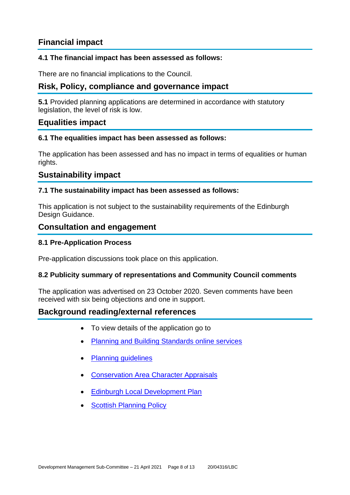## **Financial impact**

## **4.1 The financial impact has been assessed as follows:**

There are no financial implications to the Council.

## **Risk, Policy, compliance and governance impact**

**5.1** Provided planning applications are determined in accordance with statutory legislation, the level of risk is low.

## **Equalities impact**

## **6.1 The equalities impact has been assessed as follows:**

The application has been assessed and has no impact in terms of equalities or human rights.

## **Sustainability impact**

## **7.1 The sustainability impact has been assessed as follows:**

This application is not subject to the sustainability requirements of the Edinburgh Design Guidance.

## **Consultation and engagement**

## **8.1 Pre-Application Process**

Pre-application discussions took place on this application.

## **8.2 Publicity summary of representations and Community Council comments**

The application was advertised on 23 October 2020. Seven comments have been received with six being objections and one in support.

## **Background reading/external references**

- To view details of the application go to
- [Planning and Building Standards online services](https://citydev-portal.edinburgh.gov.uk/idoxpa-web/search.do?action=simple&searchType=Application)
- [Planning guidelines](http://www.edinburgh.gov.uk/planningguidelines)
- [Conservation Area Character Appraisals](http://www.edinburgh.gov.uk/characterappraisals)
- [Edinburgh Local Development Plan](http://www.edinburgh.gov.uk/localdevelopmentplan)
- **[Scottish Planning Policy](http://www.scotland.gov.uk/Topics/Built-Environment/planning/Policy)**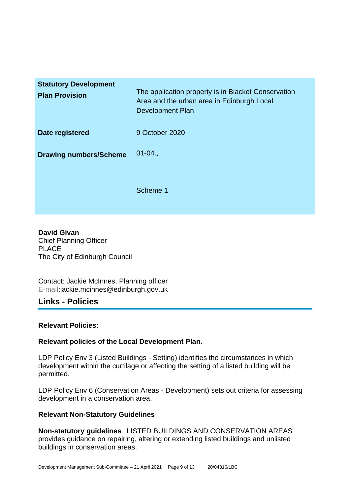| <b>Statutory Development</b><br><b>Plan Provision</b> | The application property is in Blacket Conservation<br>Area and the urban area in Edinburgh Local<br>Development Plan. |
|-------------------------------------------------------|------------------------------------------------------------------------------------------------------------------------|
| Date registered                                       | 9 October 2020                                                                                                         |
| <b>Drawing numbers/Scheme</b>                         | $01 - 04.$                                                                                                             |
|                                                       | Scheme 1                                                                                                               |

**David Givan** Chief Planning Officer PLACE The City of Edinburgh Council

Contact: Jackie McInnes, Planning officer E-mail:jackie.mcinnes@edinburgh.gov.uk

## **Links - Policies**

## **Relevant Policies:**

## **Relevant policies of the Local Development Plan.**

LDP Policy Env 3 (Listed Buildings - Setting) identifies the circumstances in which development within the curtilage or affecting the setting of a listed building will be permitted.

LDP Policy Env 6 (Conservation Areas - Development) sets out criteria for assessing development in a conservation area.

## **Relevant Non-Statutory Guidelines**

**Non-statutory guidelines** 'LISTED BUILDINGS AND CONSERVATION AREAS' provides guidance on repairing, altering or extending listed buildings and unlisted buildings in conservation areas.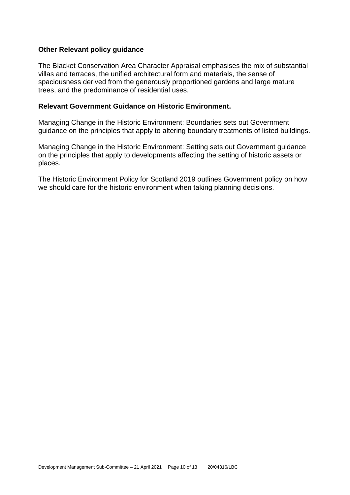#### **Other Relevant policy guidance**

The Blacket Conservation Area Character Appraisal emphasises the mix of substantial villas and terraces, the unified architectural form and materials, the sense of spaciousness derived from the generously proportioned gardens and large mature trees, and the predominance of residential uses.

#### **Relevant Government Guidance on Historic Environment.**

Managing Change in the Historic Environment: Boundaries sets out Government guidance on the principles that apply to altering boundary treatments of listed buildings.

Managing Change in the Historic Environment: Setting sets out Government guidance on the principles that apply to developments affecting the setting of historic assets or places.

The Historic Environment Policy for Scotland 2019 outlines Government policy on how we should care for the historic environment when taking planning decisions.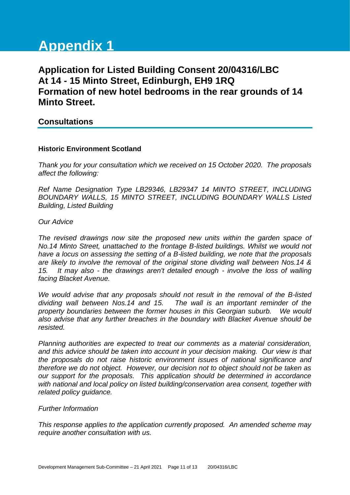# **Appendix 1**

## **Application for Listed Building Consent 20/04316/LBC At 14 - 15 Minto Street, Edinburgh, EH9 1RQ Formation of new hotel bedrooms in the rear grounds of 14 Minto Street.**

## **Consultations**

#### **Historic Environment Scotland**

*Thank you for your consultation which we received on 15 October 2020. The proposals affect the following:* 

*Ref Name Designation Type LB29346, LB29347 14 MINTO STREET, INCLUDING BOUNDARY WALLS, 15 MINTO STREET, INCLUDING BOUNDARY WALLS Listed Building, Listed Building* 

#### *Our Advice*

*The revised drawings now site the proposed new units within the garden space of No.14 Minto Street, unattached to the frontage B-listed buildings. Whilst we would not have a locus on assessing the setting of a B-listed building, we note that the proposals are likely to involve the removal of the original stone dividing wall between Nos.14 & 15. It may also - the drawings aren't detailed enough - involve the loss of walling facing Blacket Avenue.* 

*We would advise that any proposals should not result in the removal of the B-listed dividing wall between Nos.14 and 15. The wall is an important reminder of the property boundaries between the former houses in this Georgian suburb. We would also advise that any further breaches in the boundary with Blacket Avenue should be resisted.* 

*Planning authorities are expected to treat our comments as a material consideration, and this advice should be taken into account in your decision making. Our view is that the proposals do not raise historic environment issues of national significance and therefore we do not object. However, our decision not to object should not be taken as our support for the proposals. This application should be determined in accordance with national and local policy on listed building/conservation area consent, together with related policy guidance.* 

#### *Further Information*

*This response applies to the application currently proposed. An amended scheme may require another consultation with us.*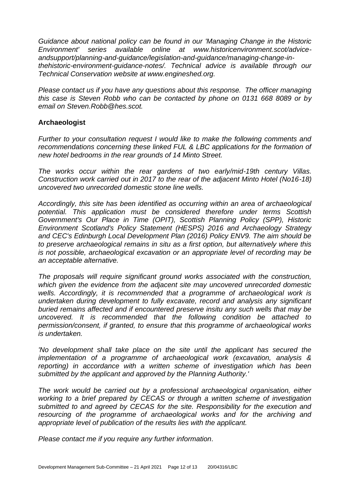*Guidance about national policy can be found in our 'Managing Change in the Historic Environment' series available online at www.historicenvironment.scot/adviceandsupport/planning-and-guidance/legislation-and-guidance/managing-change-inthehistoric-environment-guidance-notes/. Technical advice is available through our Technical Conservation website at www.engineshed.org.* 

*Please contact us if you have any questions about this response. The officer managing this case is Steven Robb who can be contacted by phone on 0131 668 8089 or by email on Steven.Robb@hes.scot.* 

## **Archaeologist**

*Further to your consultation request I would like to make the following comments and recommendations concerning these linked FUL & LBC applications for the formation of new hotel bedrooms in the rear grounds of 14 Minto Street.*

*The works occur within the rear gardens of two early/mid-19th century Villas. Construction work carried out in 2017 to the rear of the adjacent Minto Hotel (No16-18) uncovered two unrecorded domestic stone line wells.*

*Accordingly, this site has been identified as occurring within an area of archaeological potential. This application must be considered therefore under terms Scottish Government's Our Place in Time (OPIT), Scottish Planning Policy (SPP), Historic Environment Scotland's Policy Statement (HESPS) 2016 and Archaeology Strategy and CEC's Edinburgh Local Development Plan (2016) Policy ENV9. The aim should be to preserve archaeological remains in situ as a first option, but alternatively where this is not possible, archaeological excavation or an appropriate level of recording may be an acceptable alternative.*

*The proposals will require significant ground works associated with the construction, which given the evidence from the adjacent site may uncovered unrecorded domestic wells. Accordingly, it is recommended that a programme of archaeological work is undertaken during development to fully excavate, record and analysis any significant buried remains affected and if encountered preserve insitu any such wells that may be uncovered. It is recommended that the following condition be attached to permission/consent, if granted, to ensure that this programme of archaeological works is undertaken.* 

*'No development shall take place on the site until the applicant has secured the implementation of a programme of archaeological work (excavation, analysis & reporting) in accordance with a written scheme of investigation which has been submitted by the applicant and approved by the Planning Authority.'* 

*The work would be carried out by a professional archaeological organisation, either working to a brief prepared by CECAS or through a written scheme of investigation submitted to and agreed by CECAS for the site. Responsibility for the execution and resourcing of the programme of archaeological works and for the archiving and appropriate level of publication of the results lies with the applicant.*

*Please contact me if you require any further information.*